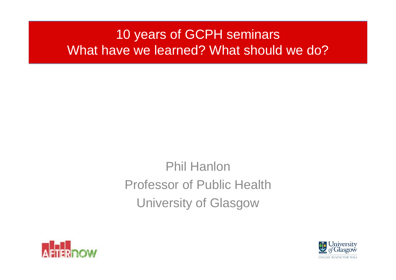## 10 years of GCPH seminars What have we learned? What should we do?

# Phil HanlonProfessor of Public HealthUniversity of Glasgow



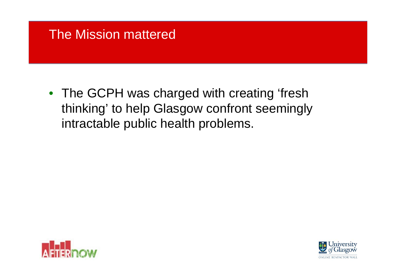### The Mission mattered

• The GCPH was charged with creating 'fresh thinking' to help Glasgow confront seemingly intractable public health problems.



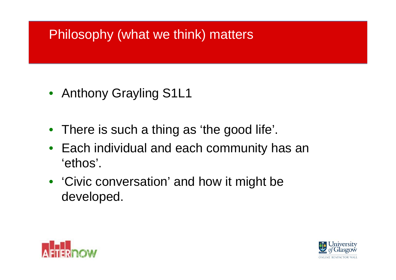## Philosophy (what we think) matters

- Anthony Grayling S1L1
- There is such a thing as 'the good life'.
- Each individual and each community has an 'ethos'.
- 'Civic conversation' and how it might be developed.



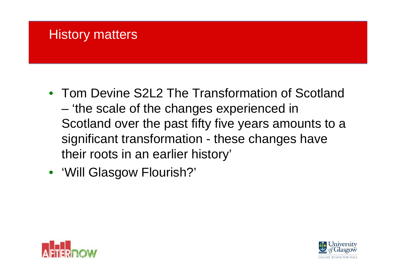### **History matters**

- Tom Devine S2L2 The Transformation of Scotland – 'the scale of the changes experienced in Scotland over the past fifty five years amounts to a significant transformation - these changes have their roots in an earlier history'
- 'Will Glasgow Flourish?'



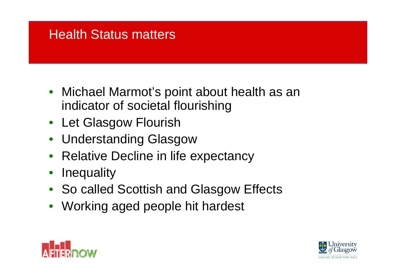### Health Status matters

- Michael Marmot's point about health as an indicator of societal flourishing
- Let Glasgow Flourish
- Understanding Glasgow
- Relative Decline in life expectancy
- **Inequality**
- So called Scottish and Glasgow Effects
- Working aged people hit hardest



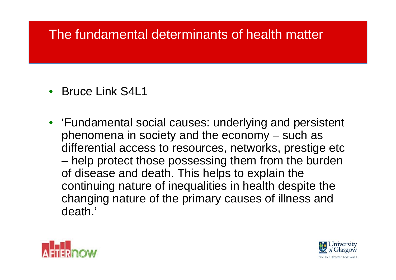### The fundamental determinants of health matter

- Bruce Link S4L1
- 'Fundamental social causes: underlying and persistent phenomena in society and the economy – such as differential access to resources, networks, prestige etc – help protect those possessing them from the burden of disease and death. This helps to explain the continuing nature of inequalities in health despite the changing nature of the primary causes of illness and death.'



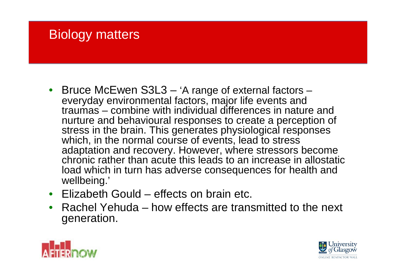### Biology matters

- Bruce McEwen S3L3 'A range of external factors everyday environmental factors, major life events and traumas – combine with individual differences in nature and nurture and behavioural responses to create a perception of stress in the brain. This generates physiological responses which, in the normal course of events, lead to stress adaptation and recovery. However, where stressors become chronic rather than acute this leads to an increase in allostatic load which in turn has adverse consequences for health and wellbeing.'
- Elizabeth Gould effects on brain etc.
- Rachel Yehuda how effects are transmitted to the next generation.



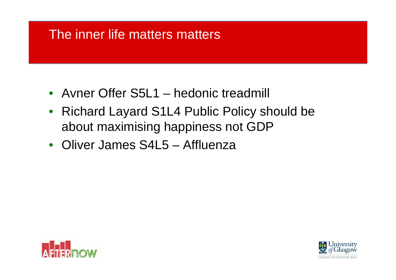### The inner life matters matters

- Avner Offer S5L1 hedonic treadmill
- Richard Layard S1L4 Public Policy should be about maximising happiness not GDP
- Oliver James S4L5 Affluenza



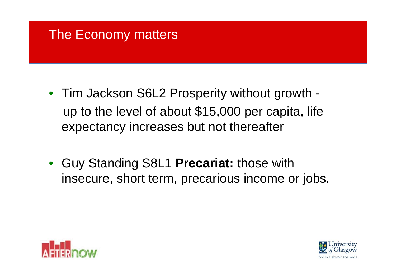### The Economy matters

- Tim Jackson S6L2 Prosperity without growth up to the level of about \$15,000 per capita, life expectancy increases but not thereafter
- Guy Standing S8L1 **Precariat:** those with insecure, short term, precarious income or jobs.



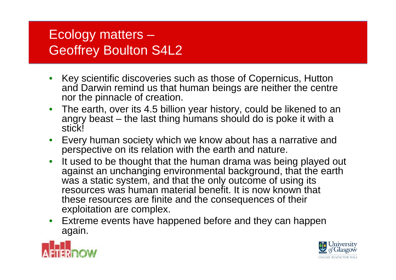### Ecology matters – Geoffrey Boulton S4L2

- Key scientific discoveries such as those of Copernicus, Hutton and Darwin remind us that human beings are neither the centre nor the pinnacle of creation.
- The earth, over its 4.5 billion year history, could be likened to an angry beast – the last thing humans should do is poke it with a stick!
- Every human society which we know about has a narrative and perspective on its relation with the earth and nature.
- It used to be thought that the human drama was being played out against an unchanging environmental background, that the earth was a static system, and that the only outcome of using its resources was human material benefit. It is now known that these resources are finite and the consequences of their exploitation are complex.
- Extreme events have happened before and they can happen again.



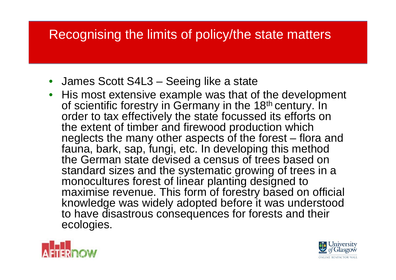## Recognising the limits of policy/the state matters

- James Scott S4L3 Seeing like a state
- His most extensive example was that of the development of scientific forestry in Germany in the 18<sup>th</sup> century. In order to tax effectively the state focussed its efforts on the extent of timber and firewood production which neglects the many other aspects of the forest – flora and fauna, bark, sap, fungi, etc. In developing this method the German state devised a census of trees based on standard sizes and the systematic growing of trees in a monocultures forest of linear planting designed to maximise revenue. This form of forestry based on official knowledge was widely adopted before it was understood to have disastrous consequences for forests and their ecologies.



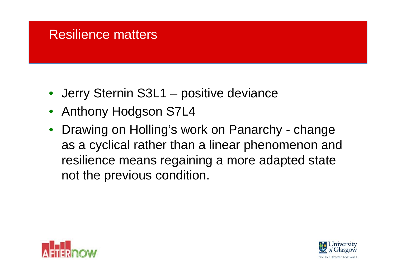### Resilience matters

- Jerry Sternin S3L1 positive deviance
- Anthony Hodgson S7L4
- Drawing on Holling's work on Panarchy change as a cyclical rather than a linear phenomenon and resilience means regaining a more adapted state not the previous condition.



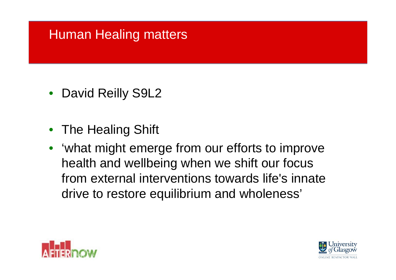## Human Healing matters

- David Reilly S9L2
- The Healing Shift
- 'what might emerge from our efforts to improve health and wellbeing when we shift our focus from external interventions towards life's innate drive to restore equilibrium and wholeness'



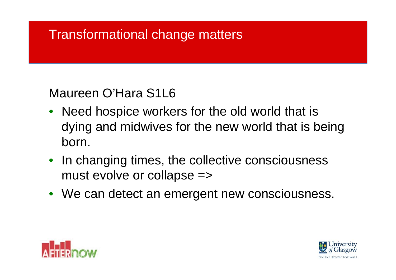### Transformational change matters

### Maureen O'Hara S1L6

- Need hospice workers for the old world that is dying and midwives for the new world that is being born.
- In changing times, the collective consciousness must evolve or collapse =>
- We can detect an emergent new consciousness.



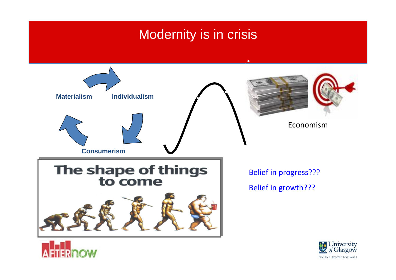### Modernity is in crisis





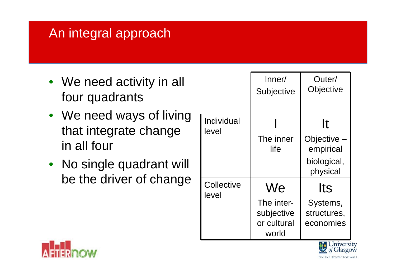## An integral approach

- We need activity in all four quadrants
- We need ways of living that integrate change in all four
- No single quadrant will be the driver of change

|                     | Inner/<br><b>Subjective</b>                      | Outer/<br>Objective                  |
|---------------------|--------------------------------------------------|--------------------------------------|
| Individual<br>level |                                                  | It                                   |
|                     | The inner<br>life                                | Objective<br>empirical               |
|                     |                                                  | biological,<br>physical              |
| Collective<br>level | We                                               | lts                                  |
|                     | The inter-<br>subjective<br>or cultural<br>world | Systems,<br>structures,<br>economies |